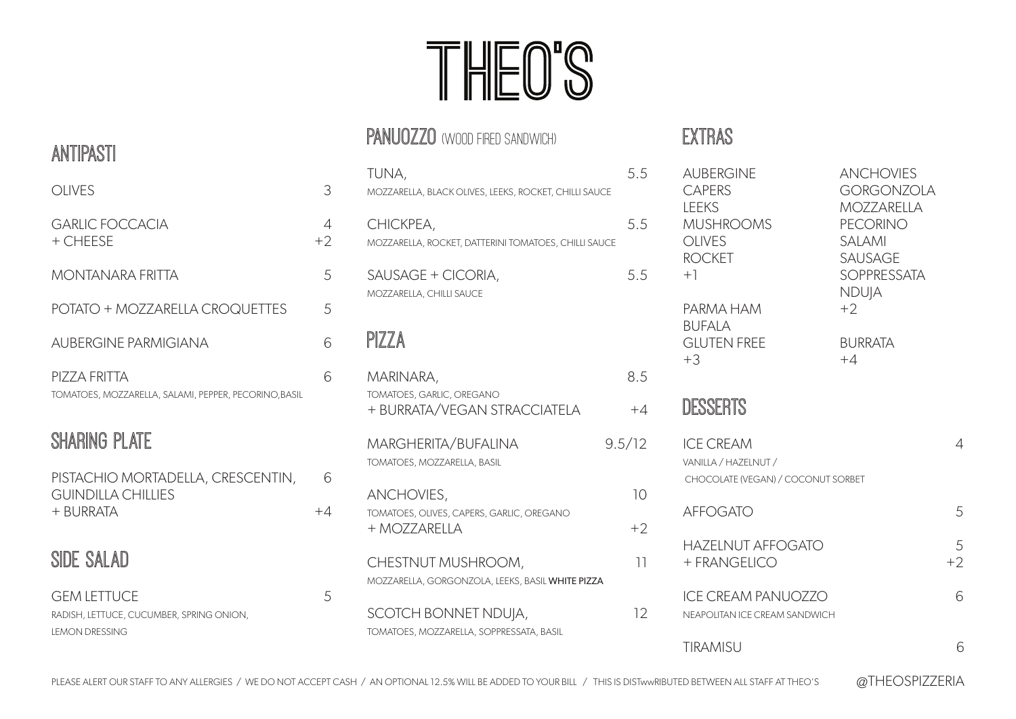# THEO'S

## PANUOZZO (WOOD FIRED SANDWICH)

| 5.5<br>MOZZARELLA, BLACK OLIVES, LEEKS, ROCKET, CHILLI SAUCE |
|--------------------------------------------------------------|
| 5.5<br>MOZZARELLA, ROCKET, DATTERINI TOMATOES, CHILLI SAUCE  |
| 5.5                                                          |
|                                                              |
| 8.5                                                          |
| $+4$                                                         |
| 9.5/12                                                       |
| 10 <sup>1</sup>                                              |
| $+2$                                                         |
| 11                                                           |
| 12                                                           |
|                                                              |

### EXTRAS

| <b>AUBERGINE</b><br><b>CAPERS</b><br><b>LEEKS</b><br><b>MUSHROOMS</b><br><b>OLIVES</b><br><b>ROCKET</b><br>$+1$<br>PARMA HAM<br><b>BUFALA</b><br><b>GLUTEN FREE</b><br>$+3$ | <b>ANCHOVIES</b><br><b>GORGONZOLA</b><br><b>MOZZARELLA</b><br><b>PECORINO</b><br><b>SALAMI</b><br><b>SAUSAGE</b><br><b>SOPPRESSATA</b><br><b>NDUJA</b><br>$+2$<br><b>BURRATA</b><br>$+4$ |           |
|-----------------------------------------------------------------------------------------------------------------------------------------------------------------------------|------------------------------------------------------------------------------------------------------------------------------------------------------------------------------------------|-----------|
| DESSERTS                                                                                                                                                                    |                                                                                                                                                                                          |           |
| <b>ICE CREAM</b><br>VANILLA / HAZELNUT /<br>CHOCOLATE (VEGAN) / COCONUT SORBET                                                                                              |                                                                                                                                                                                          | 4         |
| <b>AFFOGATO</b>                                                                                                                                                             |                                                                                                                                                                                          | 5         |
| <b>HAZELNUT AFFOGATO</b><br>+ FRANGELICO                                                                                                                                    |                                                                                                                                                                                          | 5<br>$+2$ |
| <b>ICE CREAM PANUOZZO</b><br>NEAPOLITAN ICE CREAM SANDWICH                                                                                                                  |                                                                                                                                                                                          | 6         |
| <b>TIRAMISU</b>                                                                                                                                                             |                                                                                                                                                                                          | 6         |
|                                                                                                                                                                             |                                                                                                                                                                                          |           |

### ANTIPASTI

| <b>OLIVES</b>                                                         | 3         |
|-----------------------------------------------------------------------|-----------|
| <b>GARLIC FOCCACIA</b><br>+ CHEESE                                    | 4<br>$+2$ |
| MONTANARA FRITTA                                                      | 5         |
| POTATO + MOZZARELLA CROQUETTES                                        | 5         |
| <b>AUBERGINE PARMIGIANA</b>                                           | 6         |
| PIZZA FRITTA<br>TOMATOES, MOZZARELLA, SALAMI, PEPPER, PECORINO, BASIL | 6         |

# SHARING PLATE

| PISTACHIO MORTADELLA, CRESCENTIN, | 6    |
|-----------------------------------|------|
| <b>GUINDILLA CHILLIES</b>         |      |
| + BURRATA                         | $+4$ |

## SIDE SALAD

| <b>GEM LETTUCE</b>                       |  |
|------------------------------------------|--|
| RADISH, LETTUCE, CUCUMBER, SPRING ONION, |  |
| LEMON DRESSING                           |  |

PLEASE ALERT OUR STAFF TO ANY ALLERGIES / WE DO NOT ACCEPT CASH / AN OPTIONAL 12.5% WILL BE ADDED TO YOUR BILL / THIS IS DISTWWRIBUTED BETWEEN ALL STAFF AT THEO'S @THEOSPIZZERIA